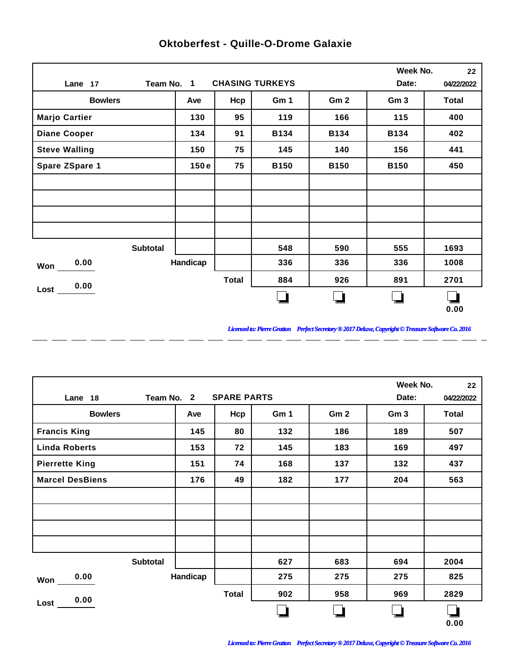|                       |          |              |                        |                 | Week No.        | 22           |
|-----------------------|----------|--------------|------------------------|-----------------|-----------------|--------------|
| Team No. 1<br>Lane 17 |          |              | <b>CHASING TURKEYS</b> |                 | Date:           | 04/22/2022   |
| <b>Bowlers</b>        | Ave      | Hcp          | Gm 1                   | Gm <sub>2</sub> | Gm <sub>3</sub> | <b>Total</b> |
| <b>Marjo Cartier</b>  | 130      | 95           | 119                    | 166             | 115             | 400          |
| <b>Diane Cooper</b>   | 134      | 91           | <b>B134</b>            | <b>B134</b>     | <b>B134</b>     | 402          |
| <b>Steve Walling</b>  | 150      | 75           | 145                    | 140             | 156             | 441          |
| Spare ZSpare 1        | 150e     | 75           | <b>B150</b>            | <b>B150</b>     | <b>B150</b>     | 450          |
|                       |          |              |                        |                 |                 |              |
|                       |          |              |                        |                 |                 |              |
|                       |          |              |                        |                 |                 |              |
|                       |          |              |                        |                 |                 |              |
| <b>Subtotal</b>       |          |              | 548                    | 590             | 555             | 1693         |
| 0.00<br>Won           | Handicap |              | 336                    | 336             | 336             | 1008         |
| 0.00                  |          | <b>Total</b> | 884                    | 926             | 891             | 2701         |
| Lost                  |          |              |                        |                 |                 |              |
|                       |          |              |                        |                 |                 | 0.00         |

 $\overline{a}$ 

 $\overline{a}$ 

 $\overline{a}$ 

 $\overline{a}$ 

 $-$ 

 $\overline{a}$ 

 $\overline{a}$ 

## **Oktoberfest - Quille-O-Drome Galaxie**

*Licensed to: Pierre Gratton Perfect Secretary ® 2017 Deluxe, Copyright © Treasure Software Co. 2016* 

 $=$   $-$ 

|                        |            |                    |      |     | Week No.        | 22           |
|------------------------|------------|--------------------|------|-----|-----------------|--------------|
| Lane 18                | Team No. 2 | <b>SPARE PARTS</b> |      |     | Date:           | 04/22/2022   |
| <b>Bowlers</b>         | Ave        | Hcp                | Gm 1 | Gm2 | Gm <sub>3</sub> | <b>Total</b> |
| <b>Francis King</b>    | 145        | 80                 | 132  | 186 | 189             | 507          |
| <b>Linda Roberts</b>   | 153        | 72                 | 145  | 183 | 169             | 497          |
| <b>Pierrette King</b>  | 151        | 74                 | 168  | 137 | 132             | 437          |
| <b>Marcel DesBiens</b> | 176        | 49                 | 182  | 177 | 204             | 563          |
|                        |            |                    |      |     |                 |              |
|                        |            |                    |      |     |                 |              |
|                        |            |                    |      |     |                 |              |
|                        |            |                    |      |     |                 |              |
| <b>Subtotal</b>        |            |                    | 627  | 683 | 694             | 2004         |
| 0.00<br>Won            | Handicap   |                    | 275  | 275 | 275             | 825          |
| 0.00                   |            | <b>Total</b>       | 902  | 958 | 969             | 2829         |
| Lost                   |            |                    |      |     |                 | 0.00         |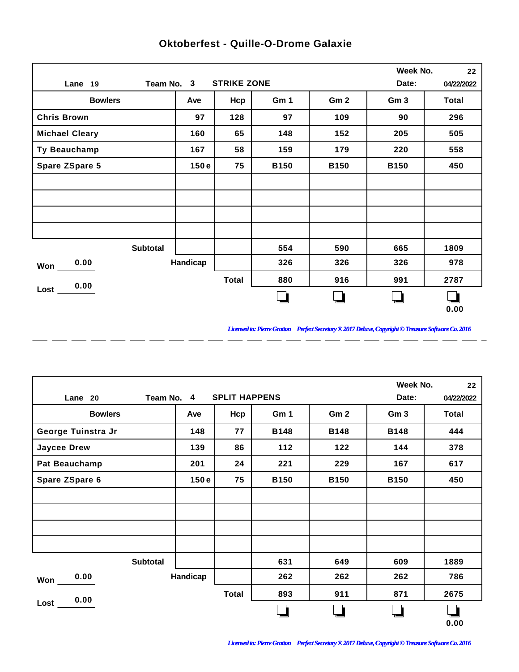|                       |          |                    |             |                 | Week No.        | 22           |
|-----------------------|----------|--------------------|-------------|-----------------|-----------------|--------------|
| Team No. 3<br>Lane 19 |          | <b>STRIKE ZONE</b> |             |                 | Date:           | 04/22/2022   |
| <b>Bowlers</b>        | Ave      | Hcp                | Gm 1        | Gm <sub>2</sub> | Gm <sub>3</sub> | <b>Total</b> |
| <b>Chris Brown</b>    | 97       | 128                | 97          | 109             | 90              | 296          |
| <b>Michael Cleary</b> | 160      | 65                 | 148         | 152             | 205             | 505          |
| Ty Beauchamp          | 167      | 58                 | 159         | 179             | 220             | 558          |
| <b>Spare ZSpare 5</b> | 150e     | 75                 | <b>B150</b> | <b>B150</b>     | <b>B150</b>     | 450          |
|                       |          |                    |             |                 |                 |              |
|                       |          |                    |             |                 |                 |              |
|                       |          |                    |             |                 |                 |              |
|                       |          |                    |             |                 |                 |              |
| <b>Subtotal</b>       |          |                    | 554         | 590             | 665             | 1809         |
| 0.00<br>Won           | Handicap |                    | 326         | 326             | 326             | 978          |
| 0.00                  |          | <b>Total</b>       | 880         | 916             | 991             | 2787         |
| Lost                  |          |                    |             |                 |                 | 0.00         |

 $\overline{a}$ 

 $\overline{a}$ 

 $\overline{a}$ 

 $\overline{a}$ 

 $-$ 

 $\overline{a}$ 

 $\overline{a}$ 

## **Oktoberfest - Quille-O-Drome Galaxie**

*Licensed to: Pierre Gratton Perfect Secretary ® 2017 Deluxe, Copyright © Treasure Software Co. 2016* 

 $=$   $-$ 

|                      |            |                      |             |                 | Week No.        | 22         |
|----------------------|------------|----------------------|-------------|-----------------|-----------------|------------|
| Lane 20              | Team No. 4 | <b>SPLIT HAPPENS</b> |             |                 | Date:           | 04/22/2022 |
| <b>Bowlers</b>       | Ave        | Hcp                  | Gm 1        | Gm <sub>2</sub> | Gm <sub>3</sub> | Total      |
| George Tuinstra Jr   | 148        | 77                   | <b>B148</b> | <b>B148</b>     | <b>B148</b>     | 444        |
| <b>Jaycee Drew</b>   | 139        | 86                   | 112         | 122             | 144             | 378        |
| <b>Pat Beauchamp</b> | 201        | 24                   | 221         | 229             | 167             | 617        |
| Spare ZSpare 6       | 150e       | 75                   | <b>B150</b> | <b>B150</b>     | <b>B150</b>     | 450        |
|                      |            |                      |             |                 |                 |            |
|                      |            |                      |             |                 |                 |            |
|                      |            |                      |             |                 |                 |            |
|                      |            |                      |             |                 |                 |            |
| Subtotal             |            |                      | 631         | 649             | 609             | 1889       |
| 0.00<br>Won          | Handicap   |                      | 262         | 262             | 262             | 786        |
| 0.00                 |            | <b>Total</b>         | 893         | 911             | 871             | 2675       |
| Lost                 |            |                      |             |                 |                 | 0.00       |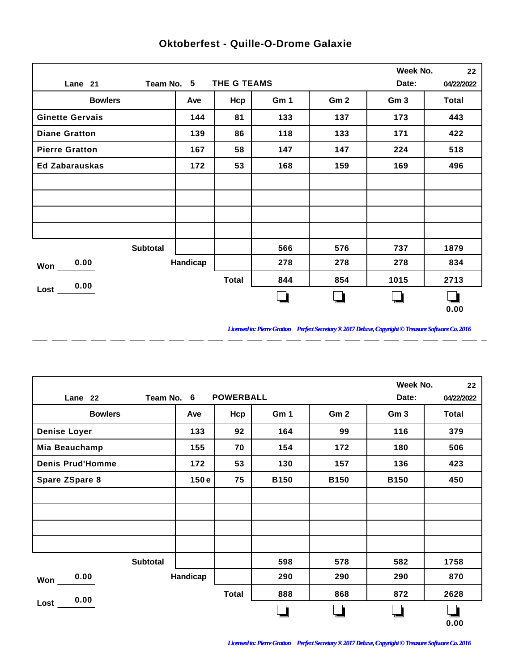|                        |          |              |      |                 | Week No.        | 22           |
|------------------------|----------|--------------|------|-----------------|-----------------|--------------|
| Team No. 5<br>Lane 21  |          | THE G TEAMS  |      |                 | Date:           | 04/22/2022   |
| <b>Bowlers</b>         | Ave      | Hcp          | Gm 1 | Gm <sub>2</sub> | Gm <sub>3</sub> | <b>Total</b> |
| <b>Ginette Gervais</b> | 144      | 81           | 133  | 137             | 173             | 443          |
| <b>Diane Gratton</b>   | 139      | 86           | 118  | 133             | 171             | 422          |
| <b>Pierre Gratton</b>  | 167      | 58           | 147  | 147             | 224             | 518          |
| <b>Ed Zabarauskas</b>  | 172      | 53           | 168  | 159             | 169             | 496          |
|                        |          |              |      |                 |                 |              |
|                        |          |              |      |                 |                 |              |
|                        |          |              |      |                 |                 |              |
|                        |          |              |      |                 |                 |              |
| <b>Subtotal</b>        |          |              | 566  | 576             | 737             | 1879         |
| 0.00<br>Won            | Handicap |              | 278  | 278             | 278             | 834          |
| 0.00                   |          | <b>Total</b> | 844  | 854             | 1015            | 2713         |
| Lost                   |          |              |      |                 |                 | 0.00         |

 $\overline{a}$ 

 $\overline{a}$ 

 $\overline{a}$ 

 $\overline{a}$ 

 $-$ 

 $\overline{a}$ 

 $\overline{a}$ 

## **Oktoberfest - Quille-O-Drome Galaxie**

*Licensed to: Pierre Gratton Perfect Secretary ® 2017 Deluxe, Copyright © Treasure Software Co. 2016* <u> 2002 - 2003 - 2003 - 2003 - 2003 - 2003 - 2003 - 2003 - 200</u>

 $\overline{\phantom{0}}$ 

|                         |          |                  |             |                 | Week No.        | 22         |
|-------------------------|----------|------------------|-------------|-----------------|-----------------|------------|
| Team No. 6<br>Lane 22   |          | <b>POWERBALL</b> |             |                 | Date:           | 04/22/2022 |
| <b>Bowlers</b>          | Ave      | Hcp              | Gm 1        | Gm <sub>2</sub> | Gm <sub>3</sub> | Total      |
| <b>Denise Loyer</b>     | 133      | 92               | 164         | 99              | 116             | 379        |
| Mia Beauchamp           | 155      | 70               | 154         | 172             | 180             | 506        |
| <b>Denis Prud'Homme</b> | 172      | 53               | 130         | 157             | 136             | 423        |
| Spare ZSpare 8          | 150e     | 75               | <b>B150</b> | <b>B150</b>     | <b>B150</b>     | 450        |
|                         |          |                  |             |                 |                 |            |
|                         |          |                  |             |                 |                 |            |
|                         |          |                  |             |                 |                 |            |
|                         |          |                  |             |                 |                 |            |
| Subtotal                |          |                  | 598         | 578             | 582             | 1758       |
| 0.00<br><b>Won</b>      | Handicap |                  | 290         | 290             | 290             | 870        |
| 0.00                    |          | <b>Total</b>     | 888         | 868             | 872             | 2628       |
| Lost                    |          |                  |             |                 |                 | 0.00       |